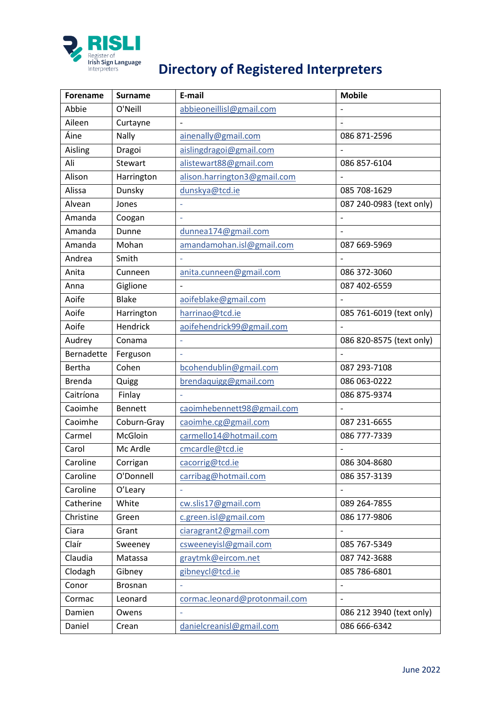

## **PRISLE**<br> **Register of**<br> **Directory of Registered Interpreters**

| <b>Forename</b> | <b>Surname</b> | E-mail                        | <b>Mobile</b>            |
|-----------------|----------------|-------------------------------|--------------------------|
| Abbie           | O'Neill        | abbieoneillisl@gmail.com      |                          |
| Aileen          | Curtayne       |                               |                          |
| Áine            | Nally          | ainenally@gmail.com           | 086 871-2596             |
| Aisling         | Dragoi         | aislingdragoi@gmail.com       |                          |
| Ali             | Stewart        | alistewart88@gmail.com        | 086 857-6104             |
| Alison          | Harrington     | alison.harrington3@gmail.com  |                          |
| Alissa          | Dunsky         | dunskya@tcd.ie                | 085 708-1629             |
| Alvean          | Jones          |                               | 087 240-0983 (text only) |
| Amanda          | Coogan         |                               |                          |
| Amanda          | Dunne          | dunnea174@gmail.com           |                          |
| Amanda          | Mohan          | amandamohan.isl@gmail.com     | 087 669-5969             |
| Andrea          | Smith          |                               |                          |
| Anita           | Cunneen        | anita.cunneen@gmail.com       | 086 372-3060             |
| Anna            | Giglione       |                               | 087 402-6559             |
| Aoife           | <b>Blake</b>   | aoifeblake@gmail.com          |                          |
| Aoife           | Harrington     | harrinao@tcd.ie               | 085 761-6019 (text only) |
| Aoife           | Hendrick       | aoifehendrick99@gmail.com     |                          |
| Audrey          | Conama         |                               | 086 820-8575 (text only) |
| Bernadette      | Ferguson       |                               |                          |
| Bertha          | Cohen          | bcohendublin@gmail.com        | 087 293-7108             |
| <b>Brenda</b>   | Quigg          | brendaquigg@gmail.com         | 086 063-0222             |
| Caitríona       | Finlay         |                               | 086 875-9374             |
| Caoimhe         | <b>Bennett</b> | caoimhebennett98@gmail.com    |                          |
| Caoimhe         | Coburn-Gray    | caoimhe.cg@gmail.com          | 087 231-6655             |
| Carmel          | McGloin        | carmello14@hotmail.com        | 086 777-7339             |
| Carol           | Mc Ardle       | cmcardle@tcd.ie               |                          |
| Caroline        | Corrigan       | cacorrig@tcd.ie               | 086 304-8680             |
| Caroline        | O'Donnell      | carribag@hotmail.com          | 086 357-3139             |
| Caroline        | O'Leary        | L,                            |                          |
| Catherine       | White          | cw.slis17@gmail.com           | 089 264-7855             |
| Christine       | Green          | c.green.isl@gmail.com         | 086 177-9806             |
| Ciara           | Grant          | ciaragrant2@gmail.com         |                          |
| Claír           | Sweeney        | csweeneyisl@gmail.com         | 085 767-5349             |
| Claudia         | Matassa        | graytmk@eircom.net            | 087 742-3688             |
| Clodagh         | Gibney         | gibneycl@tcd.ie               | 085 786-6801             |
| Conor           | Brosnan        |                               |                          |
| Cormac          | Leonard        | cormac.leonard@protonmail.com | $\overline{\phantom{0}}$ |
| Damien          | Owens          |                               | 086 212 3940 (text only) |
| Daniel          | Crean          | danielcreanisl@gmail.com      | 086 666-6342             |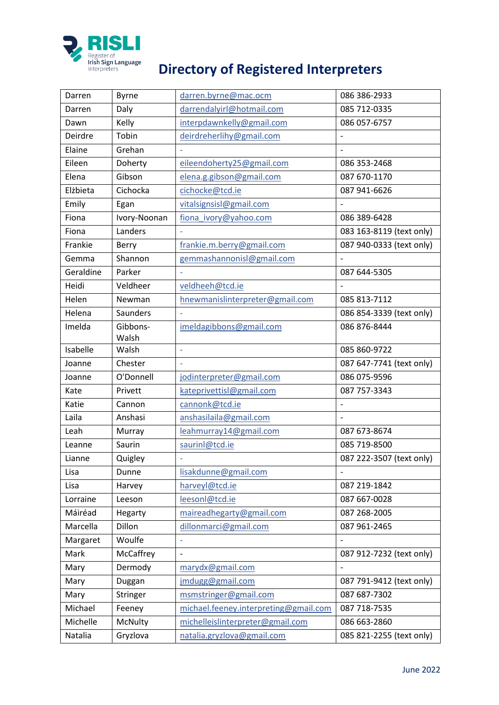

## **Directory of Register of Interpreters**<br>
Interpreters **Directory of Registered Interpreters**

| Darren    | <b>Byrne</b>    | darren.byrne@mac.ocm                  | 086 386-2933                 |
|-----------|-----------------|---------------------------------------|------------------------------|
| Darren    | Daly            | darrendalyirl@hotmail.com             | 085 712-0335                 |
| Dawn      | Kelly           | interpdawnkelly@gmail.com             | 086 057-6757                 |
| Deirdre   | Tobin           | deirdreherlihy@gmail.com              |                              |
| Elaine    | Grehan          |                                       |                              |
| Eileen    | Doherty         | eileendoherty25@gmail.com             | 086 353-2468                 |
| Elena     | Gibson          | elena.g.gibson@gmail.com              | 087 670-1170                 |
| Elżbieta  | Cichocka        | cichocke@tcd.ie                       | 087 941-6626                 |
| Emily     | Egan            | vitalsignsisl@gmail.com               |                              |
| Fiona     | Ivory-Noonan    | fiona_ivory@yahoo.com                 | 086 389-6428                 |
| Fiona     | Landers         |                                       | 083 163-8119 (text only)     |
| Frankie   | Berry           | frankie.m.berry@gmail.com             | 087 940-0333 (text only)     |
| Gemma     | Shannon         | gemmashannonisl@gmail.com             |                              |
| Geraldine | Parker          | ÷,                                    | 087 644-5305                 |
| Heidi     | Veldheer        | veldheeh@tcd.ie                       |                              |
| Helen     | Newman          | hnewmanislinterpreter@gmail.com       | 085 813-7112                 |
| Helena    | <b>Saunders</b> |                                       | 086 854-3339 (text only)     |
| Imelda    | Gibbons-        | imeldagibbons@gmail.com               | 086 876-8444                 |
|           | Walsh           |                                       |                              |
| Isabelle  | Walsh           | L,                                    | 085 860-9722                 |
| Joanne    | Chester         |                                       | 087 647-7741 (text only)     |
| Joanne    | O'Donnell       | jodinterpreter@gmail.com              | 086 075-9596                 |
| Kate      | Privett         | kateprivettisl@gmail.com              | 087 757-3343                 |
| Katie     | Cannon          | cannonk@tcd.ie                        | $\overline{a}$               |
| Laila     | Anshasi         | anshasilaila@gmail.com                | $\overline{a}$               |
| Leah      | Murray          | leahmurray14@gmail.com                | 087 673-8674                 |
| Leanne    | Saurin          | saurinl@tcd.ie                        | 085 719-8500                 |
| Lianne    | Quigley         |                                       | 087 222-3507 (text only)     |
| Lisa      | Dunne           | lisakdunne@gmail.com                  | $\overline{\phantom{0}}$     |
| Lisa      | Harvey          | harveyl@tcd.ie                        | 087 219-1842                 |
| Lorraine  | Leeson          | leesonl@tcd.ie                        | 087 667-0028                 |
| Máiréad   | Hegarty         | maireadhegarty@gmail.com              | 087 268-2005                 |
| Marcella  | Dillon          | dillonmarci@gmail.com                 | 087 961-2465                 |
| Margaret  | Woulfe          | ÷,                                    |                              |
| Mark      | McCaffrey       | $\overline{a}$                        | 087 912-7232 (text only)     |
| Mary      | Dermody         | marydx@gmail.com                      | $\qquad \qquad \blacksquare$ |
| Mary      | Duggan          | jmdugg@gmail.com                      | 087 791-9412 (text only)     |
| Mary      | Stringer        | msmstringer@gmail.com                 | 087 687-7302                 |
| Michael   | Feeney          | michael.feeney.interpreting@gmail.com | 087 718-7535                 |
| Michelle  | McNulty         | michelleislinterpreter@gmail.com      | 086 663-2860                 |
| Natalia   | Gryzlova        | natalia.gryzlova@gmail.com            | 085 821-2255 (text only)     |